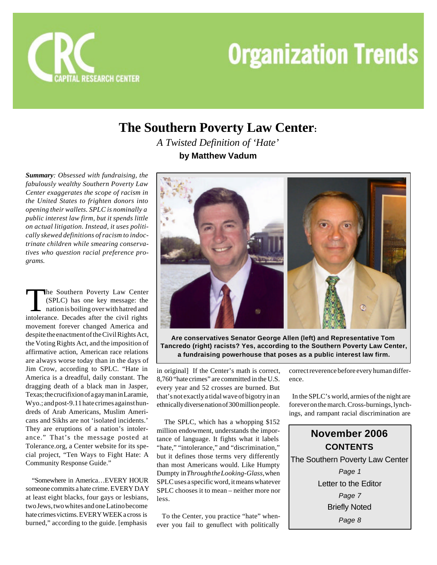

## **The Southern Poverty Law Center:**

*A Twisted Definition of 'Hate'* **by Matthew Vadum**

*Summary: Obsessed with fundraising, the fabulously wealthy Southern Poverty Law Center exaggerates the scope of racism in the United States to frighten donors into opening their wallets. SPLC is nominally a public interest law firm, but it spends little on actual litigation. Instead, it uses politically skewed definitions of racism to indoctrinate children while smearing conservatives who question racial preference programs.*

The Southern Poverty Law Center<br>
(SPLC) has one key message: the<br>
nation is boiling over with hatred and<br>
intolerance. Decades after the civil rights he Southern Poverty Law Center (SPLC) has one key message: the nation is boiling over with hatred and movement forever changed America and despite the enactment of the Civil Rights Act, the Voting Rights Act, and the imposition of affirmative action, American race relations are always worse today than in the days of Jim Crow, according to SPLC. "Hate in America is a dreadful, daily constant. The dragging death of a black man in Jasper, Texas; the crucifixion of a gay man in Laramie, Wyo.; and post-9.11 hate crimes against hundreds of Arab Americans, Muslim Americans and Sikhs are not 'isolated incidents.' They are eruptions of a nation's intolerance." That's the message posted at Tolerance.org, a Center website for its special project, "Ten Ways to Fight Hate: A Community Response Guide."

 "Somewhere in America…EVERY HOUR someone commits a hate crime. EVERY DAY at least eight blacks, four gays or lesbians, two Jews, two whites and one Latino become hate crimes victims. EVERY WEEK a cross is burned," according to the guide. [emphasis



**Are conservatives Senator George Allen (left) and Representative Tom Tancredo (right) racists? Yes, according to the Southern Poverty Law Center, a fundraising powerhouse that poses as a public interest law firm.**

in original] If the Center's math is correct, 8,760 "hate crimes" are committed in the U.S. every year and 52 crosses are burned. But that's not exactly a tidal wave of bigotry in an ethnically diverse nation of 300 million people.

 The SPLC, which has a whopping \$152 million endowment, understands the importance of language. It fights what it labels "hate," "intolerance," and "discrimination," but it defines those terms very differently than most Americans would. Like Humpty Dumpty in *Through the Looking-Glass*, when SPLC uses a specific word, it means whatever SPLC chooses it to mean – neither more nor less.

 To the Center, you practice "hate" whenever you fail to genuflect with politically

correct reverence before every human difference.

 In the SPLC's world, armies of the night are forever on the march. Cross-burnings, lynchings, and rampant racial discrimination are

## **November 2006 CONTENTS** The Southern Poverty Law Center *Page 1* Letter to the Editor *Page 7* Briefly Noted *Page 8*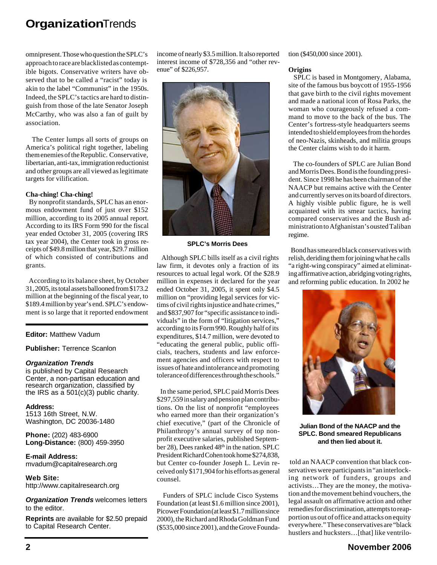omnipresent. Those who question the SPLC's approach to race are blacklisted as contemptible bigots. Conservative writers have observed that to be called a "racist" today is akin to the label "Communist" in the 1950s. Indeed, the SPLC's tactics are hard to distinguish from those of the late Senator Joseph McCarthy, who was also a fan of guilt by association.

 The Center lumps all sorts of groups on America's political right together, labeling them enemies of the Republic. Conservative, libertarian, anti-tax, immigration reductionist and other groups are all viewed as legitimate targets for vilification.

#### **Cha-ching! Cha-ching!**

 By nonprofit standards, SPLC has an enormous endowment fund of just over \$152 million, according to its 2005 annual report. According to its IRS Form 990 for the fiscal year ended October 31, 2005 (covering IRS tax year 2004), the Center took in gross receipts of \$49.8 million that year, \$29.7 million of which consisted of contributions and grants.

 According to its balance sheet, by October 31, 2005, its total assets ballooned from \$173.2 million at the beginning of the fiscal year, to \$189.4 million by year's end. SPLC's endowment is so large that it reported endowment

## **Editor:** Matthew Vadum

**Publisher:** Terrence Scanlon

## *Organization Trends*

is published by Capital Research Center, a non-partisan education and research organization, classified by the IRS as a  $501(c)(3)$  public charity.

**Address:** 1513 16th Street, N.W. Washington, DC 20036-1480

**Phone:** (202) 483-6900 **Long-Distance:** (800) 459-3950

**E-mail Address:** mvadum@capitalresearch.org

**Web Site:** http://www.capitalresearch.org

*Organization Trends* welcomes letters to the editor.

**Reprints** are available for \$2.50 prepaid to Capital Research Center.

income of nearly \$3.5 million. It also reported interest income of \$728,356 and "other revenue" of \$226,957.



#### **SPLC's Morris Dees**

 Although SPLC bills itself as a civil rights law firm, it devotes only a fraction of its resources to actual legal work. Of the \$28.9 million in expenses it declared for the year ended October 31, 2005, it spent only \$4.5 million on "providing legal services for victims of civil rights injustice and hate crimes," and \$837,907 for "specific assistance to individuals" in the form of "litigation services," according to its Form 990. Roughly half of its expenditures, \$14.7 million, were devoted to "educating the general public, public officials, teachers, students and law enforcement agencies and officers with respect to issues of hate and intolerance and promoting tolerance of differences through the schools."

 In the same period, SPLC paid Morris Dees \$297,559 in salary and pension plan contributions. On the list of nonprofit "employees who earned more than their organization's chief executive," (part of the Chronicle of Philanthropy's annual survey of top nonprofit executive salaries, published September 28), Dees ranked 48<sup>th</sup> in the nation. SPLC President Richard Cohen took home \$274,838, but Center co-founder Joseph L. Levin received only \$171,904 for his efforts as general counsel.

 Funders of SPLC include Cisco Systems Foundation (at least \$1.6 million since 2001), Picower Foundation (at least \$1.7 million since 2000), the Richard and Rhoda Goldman Fund (\$535,000 since 2001), and the Grove Foundation (\$450,000 since 2001).

#### **Origins**

 SPLC is based in Montgomery, Alabama, site of the famous bus boycott of 1955-1956 that gave birth to the civil rights movement and made a national icon of Rosa Parks, the woman who courageously refused a command to move to the back of the bus. The Center's fortress-style headquarters seems intended to shield employees from the hordes of neo-Nazis, skinheads, and militia groups the Center claims wish to do it harm.

 The co-founders of SPLC are Julian Bond and Morris Dees. Bond is the founding president. Since 1998 he has been chairman of the NAACP but remains active with the Center and currently serves on its board of directors. A highly visible public figure, he is well acquainted with its smear tactics, having compared conservatives and the Bush administration to Afghanistan's ousted Taliban regime.

 Bond has smeared black conservatives with relish, deriding them for joining what he calls "a right-wing conspiracy" aimed at eliminating affirmative action, abridging voting rights, and reforming public education. In 2002 he



**Julian Bond of the NAACP and the SPLC. Bond smeared Republicans and then lied about it.**

 told an NAACP convention that black conservatives were participants in "an interlocking network of funders, groups and activists…They are the money, the motivation and the movement behind vouchers, the legal assault on affirmative action and other remedies for discrimination, attempts to reapportion us out of office and attacks on equity everywhere." These conservatives are "black hustlers and hucksters...[that] like ventrilo-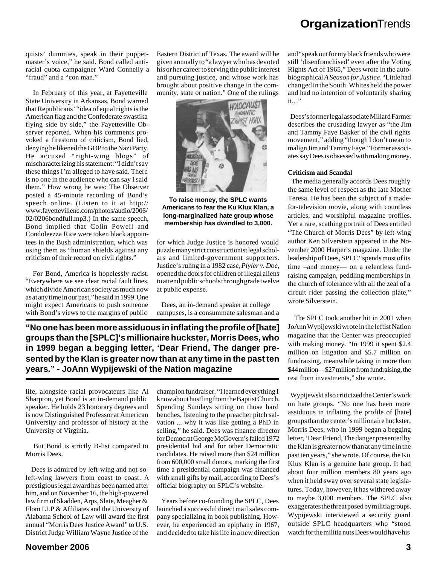quists' dummies, speak in their puppetmaster's voice," he said. Bond called antiracial quota campaigner Ward Connelly a "fraud" and a "con man."

 In February of this year, at Fayetteville State University in Arkansas, Bond warned that Republicans' "idea of equal rights is the American flag and the Confederate swastika flying side by side," the Fayetteville Observer reported. When his comments provoked a firestorm of criticism, Bond lied, denying he likened the GOP to the Nazi Party. He accused "right-wing blogs" of mischaracterizing his statement: "I didn't say these things I'm alleged to have said. There is no one in the audience who can say I said them." How wrong he was: The Observer posted a 45-minute recording of Bond's speech online. (Listen to it at http:// www.fayettevillenc.com/photos/audio/2006/ 02/0206bondfull.mp3.) In the same speech, Bond implied that Colin Powell and Condoleezza Rice were token black appointees in the Bush administration, which was using them as "human shields against any criticism of their record on civil rights."

 For Bond, America is hopelessly racist. "Everywhere we see clear racial fault lines, which divide American society as much now as at any time in our past," he said in 1999. One might expect Americans to push someone with Bond's views to the margins of public

Eastern District of Texas. The award will be given annually to "a lawyer who has devoted his or her career to serving the public interest and pursuing justice, and whose work has brought about positive change in the community, state or nation." One of the rulings



**To raise money, the SPLC wants Americans to fear the Ku Klux Klan, a long-marginalized hate group whose membership has dwindled to 3,000.**

for which Judge Justice is honored would puzzle many strict constructionist legal scholars and limited-government supporters. Justice's ruling in a 1982 case, *Plyler v. Doe*, opened the doors for children of illegal aliens to attend public schools through grade twelve at public expense.

 Dees, an in-demand speaker at college campuses, is a consummate salesman and a

**"No one has been more assiduous in inflating the profile of [hate] groups than the [SPLC]'s millionaire huckster, Morris Dees, who in 1999 began a begging letter, 'Dear Friend, The danger presented by the Klan is greater now than at any time in the past ten years." - JoAnn Wypijewski of the Nation magazine**

life, alongside racial provocateurs like Al Sharpton, yet Bond is an in-demand public speaker. He holds 23 honorary degrees and is now Distinguished Professor at American University and professor of history at the University of Virginia.

 But Bond is strictly B-list compared to Morris Dees.

 Dees is admired by left-wing and not-soleft-wing lawyers from coast to coast. A prestigious legal award has been named after him, and on November 16, the high-powered law firm of Skadden, Arps, Slate, Meagher & Flom LLP & Affiliates and the University of Alabama School of Law will award the first annual "Morris Dees Justice Award" to U.S. District Judge William Wayne Justice of the

champion fundraiser. "I learned everything I know about hustling from the Baptist Church. Spending Sundays sitting on those hard benches, listening to the preacher pitch salvation ... why it was like getting a PhD in selling," he said. Dees was finance director for Democrat George McGovern's failed 1972 presidential bid and for other Democratic candidates. He raised more than \$24 million from 600,000 small donors, marking the first time a presidential campaign was financed with small gifts by mail, according to Dees's official biography on SPLC's website.

 Years before co-founding the SPLC, Dees launched a successful direct mail sales company specializing in book publishing. However, he experienced an epiphany in 1967, and decided to take his life in a new direction

and "speak out for my black friends who were still 'disenfranchised' even after the Voting Rights Act of 1965," Dees wrote in the autobiographical *A Season for Justice*. "Little had changed in the South. Whites held the power and had no intention of voluntarily sharing it…"

 Dees's former legal associate Millard Farmer describes the crusading lawyer as "the Jim and Tammy Faye Bakker of the civil rights movement," adding "though I don't mean to malign Jim and Tammy Faye." Former associates say Dees is obsessed with making money.

### **Criticism and Scandal**

 The media generally accords Dees roughly the same level of respect as the late Mother Teresa. He has been the subject of a madefor-television movie, along with countless articles, and worshipful magazine profiles. Yet a rare, scathing portrait of Dees entitled "The Church of Morris Dees" by left-wing author Ken Silverstein appeared in the November 2000 Harper's magazine. Under the leadership of Dees, SPLC "spends most of its time –and money— on a relentless fundraising campaign, peddling memberships in the church of tolerance with all the zeal of a circuit rider passing the collection plate," wrote Silverstein.

 The SPLC took another hit in 2001 when JoAnn Wypijewski wrote in the leftist Nation magazine that the Center was preoccupied with making money. "In 1999 it spent \$2.4 million on litigation and \$5.7 million on fundraising, meanwhile taking in more than \$44 million—\$27 million from fundraising, the rest from investments," she wrote.

 Wypijewski also criticized the Center's work on hate groups. "No one has been more assiduous in inflating the profile of [hate] groups than the center's millionaire huckster, Morris Dees, who in 1999 began a begging letter, 'Dear Friend, The danger presented by the Klan is greater now than at any time in the past ten years," she wrote. Of course, the Ku Klux Klan is a genuine hate group. It had about four million members 80 years ago when it held sway over several state legislatures. Today, however, it has withered away to maybe 3,000 members. The SPLC also exaggerates the threat posed by militia groups. Wypijewski interviewed a security guard outside SPLC headquarters who "stood watch for the militia nuts Dees would have his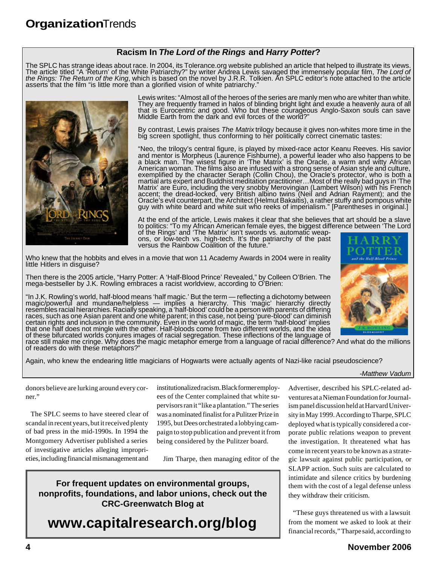## **Racism In** *The Lord of the Rings* **and** *Harry Potter***?**

The SPLC has strange ideas about race. In 2004, its Tolerance.org website published an article that helped to illustrate its views. The article titled "A 'Return' of the White Patriarchy?" by writer Andrea Lewis savaged the immensely popular film, *The Lord of the Rings: The Return of the King*, which is based on the novel by J.R.R. Tolkien. An SPLC editor's note attached to the article asserts that the film "is little more than a glorified vision of white patriarchy."



Lewis writes: "Almost all of the heroes of the series are manly men who are whiter than white. They are frequently framed in halos of blinding bright light and exude a heavenly aura of all that is Eurocentric and good. Who but these courageous Anglo-Saxon souls can save Middle Earth from the dark and evil forces of the world?"

By contrast, Lewis praises *The Matrix* trilogy because it gives non-whites more time in the big screen spotlight, thus conforming to her politically correct cinematic tastes:

"Neo, the trilogy's central figure, is played by mixed-race actor Keanu Reeves. His savior and mentor is Morpheus (Lăurence Fishburne), a powerful leader who also happens to be a black man. The wisest figure in 'The Matrix' is the Oracle, a warm and witty African American woman. The films also are infused with a strong sense of Asian style and culture, exemplified by the character Seraph (Collin Chou), the Oracle's protector, who is both a martial arts expert and Buddhist meditation practitioner…Most of the really bad guys in 'The Matrix' are Euro, including the very snobby Merovingian (Lambert Wilson) with his French accent; the dread-locked, very British albino twins (Neil and Adrian Rayment); and the Oracle's evil counterpart, the Architect (Helmut Bakaitis), a rather stuffy and pompous white guy with white beard and white suit who reeks of imperialism." [Parentheses in original.]

At the end of the article, Lewis makes it clear that she believes that art should be a slave to politics: "To my African American female eyes, the biggest difference between 'The Lord of the Rings' and 'The Matrix' isn't swords vs. automatic weap-

ons, or low-tech vs. high-tech. It's the patriarchy of the past versus the Rainbow Coalition of the future."

Who knew that the hobbits and elves in a movie that won 11 Academy Awards in 2004 were in reality little Hitlers in disguise?

Then there is the 2005 article, "Harry Potter: A 'Half-Blood Prince' Revealed," by Colleen O'Brien. The mega-bestseller by J.K. Rowling embraces a racist worldview, according to O'Brien:

"In J.K. Rowling's world, half-blood means 'half magic.' But the term — reflecting a dichotomy between magic/powerful and mundane/helpless — implies a hierarchy. This 'magic' hierarchy directly resembles racial hierarchies. Racially speaking, a 'half-blood' could be a person with parents of differing races, such as one Asian parent and one white parent; in this case, not being 'pure-blood' can diminish certain rights and inclusion in the community. Even in the world of magic, the term 'half-blood' implies that one half does not mingle with the other. Half-bloods come from two different worlds, and the idea of these bifurcated worlds conjures images of racial segregation. These inflections of the language of

race still make me cringe. Why does the magic metaphor emerge from a language of racial difference? And what do the millions of readers do with these metaphors?"

Again, who knew the endearing little magicians of Hogwarts were actually agents of Nazi-like racial pseudoscience?

#### *-Matthew Vadum*

of the Half-Bland Pr

donors believe are lurking around every corner."

 The SPLC seems to have steered clear of scandal in recent years, but it received plenty of bad press in the mid-1990s. In 1994 the Montgomery Advertiser published a series of investigative articles alleging improprieties, including financial mismanagement and

institutionalized racism. Black former employees of the Center complained that white supervisors ran it "like a plantation." The series was a nominated finalist for a Pulitzer Prize in 1995, but Dees orchestrated a lobbying campaign to stop publication and prevent it from being considered by the Pulitzer board.

Jim Tharpe, then managing editor of the

Advertiser, described his SPLC-related adventures at a Nieman Foundation for Journalism panel discussion held at Harvard University in May 1999. According to Tharpe, SPLC deployed what is typically considered a corporate public relations weapon to prevent the investigation. It threatened what has come in recent years to be known as a strategic lawsuit against public participation, or SLAPP action. Such suits are calculated to intimidate and silence critics by burdening them with the cost of a legal defense unless they withdraw their criticism.

 "These guys threatened us with a lawsuit from the moment we asked to look at their financial records," Tharpe said, according to

**For frequent updates on environmental groups, nonprofits, foundations, and labor unions, check out the CRC-Greenwatch Blog at**

## **www.capitalresearch.org/blog**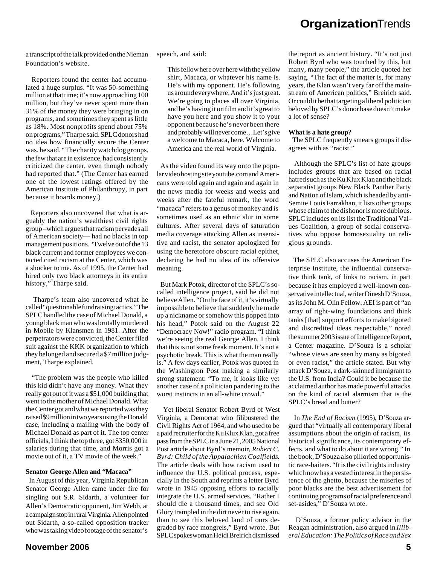a transcript of the talk provided on the Nieman Foundation's website.

 Reporters found the center had accumulated a huge surplus. "It was 50-something million at that time; it's now approaching 100 million, but they've never spent more than 31% of the money they were bringing in on programs, and sometimes they spent as little as 18%. Most nonprofits spend about 75% on programs," Tharpe said. SPLC donors had no idea how financially secure the Center was, he said. "The charity watchdog groups, the few that are in existence, had consistently criticized the center, even though nobody had reported that." (The Center has earned one of the lowest ratings offered by the American Institute of Philanthropy, in part because it hoards money.)

 Reporters also uncovered that what is arguably the nation's wealthiest civil rights group –which argues that racism pervades all of American society— had no blacks in top management positions. "Twelve out of the 13 black current and former employees we contacted cited racism at the Center, which was a shocker to me. As of 1995, the Center had hired only two black attorneys in its entire history," Tharpe said.

 Tharpe's team also uncovered what he called "questionable fundraising tactics." The SPLC handled the case of Michael Donald, a young black man who was brutally murdered in Mobile by Klansmen in 1981. After the perpetrators were convicted, the Center filed suit against the KKK organization to which they belonged and secured a \$7 million judgment, Tharpe explained.

 "The problem was the people who killed this kid didn't have any money. What they really got out of it was a \$51,000 building that went to the mother of Michael Donald. What the Center got and what we reported was they raised \$9 million in two years using the Donald case, including a mailing with the body of Michael Donald as part of it. The top center officials, I think the top three, got \$350,000 in salaries during that time, and Morris got a movie out of it, a TV movie of the week."

#### **Senator George Allen and "Macaca"**

 In August of this year, Virginia Republican Senator George Allen came under fire for singling out S.R. Sidarth, a volunteer for Allen's Democratic opponent, Jim Webb, at a campaign stop in rural Virginia. Allen pointed out Sidarth, a so-called opposition tracker who was taking video footage of the senator's

speech, and said:

This fellow here over here with the yellow shirt, Macaca, or whatever his name is. He's with my opponent. He's following us around everywhere. And it's just great. We're going to places all over Virginia, and he's having it on film and it's great to have you here and you show it to your opponent because he's never been there and probably will never come…Let's give a welcome to Macaca, here. Welcome to America and the real world of Virginia.

 As the video found its way onto the popular video hosting site youtube.com and Americans were told again and again and again in the news media for weeks and weeks and weeks after the fateful remark, the word "macaca" refers to a genus of monkey and is sometimes used as an ethnic slur in some cultures. After several days of saturation media coverage attacking Allen as insensitive and racist, the senator apologized for using the heretofore obscure racial epithet, declaring he had no idea of its offensive meaning.

 But Mark Potok, director of the SPLC's socalled intelligence project, said he did not believe Allen. "On the face of it, it's virtually impossible to believe that suddenly he made up a nickname or somehow this popped into his head," Potok said on the August 22 "Democracy Now!" radio program. "I think we're seeing the real George Allen. I think that this is not some freak moment. It's not a psychotic break. This is what the man really is." A few days earlier, Potok was quoted in the Washington Post making a similarly strong statement: "To me, it looks like yet another case of a politician pandering to the worst instincts in an all-white crowd."

 Yet liberal Senator Robert Byrd of West Virginia, a Democrat who filibustered the Civil Rights Act of 1964, and who used to be a paid recruiter for the Ku Klux Klan, got a free pass from the SPLC in a June 21, 2005 National Post article about Byrd's memoir, *Robert C. Byrd: Child of the Appalachian Coalfields*. The article deals with how racism used to influence the U.S. political process, especially in the South and reprints a letter Byrd wrote in 1945 opposing efforts to racially integrate the U.S. armed services. "Rather I should die a thousand times, and see Old Glory trampled in the dirt never to rise again, than to see this beloved land of ours degraded by race mongrels," Byrd wrote. But SPLC spokeswoman Heidi Breirich dismissed

the report as ancient history. "It's not just Robert Byrd who was touched by this, but many, many people," the article quoted her saying. "The fact of the matter is, for many years, the Klan wasn't very far off the mainstream of American politics," Breirich said. Or could it be that targeting a liberal politician beloved by SPLC's donor base doesn't make a lot of sense?

#### **What is a hate group?**

 The SPLC frequently smears groups it disagrees with as "racist."

 Although the SPLC's list of hate groups includes groups that are based on racial hatred such as the Ku Klux Klan and the black separatist groups New Black Panther Party and Nation of Islam, which is headed by anti-Semite Louis Farrakhan, it lists other groups whose claim to the dishonor is more dubious. SPLC includes on its list the Traditional Values Coalition, a group of social conservatives who oppose homosexuality on religious grounds.

 The SPLC also accuses the American Enterprise Institute, the influential conservative think tank, of links to racism, in part because it has employed a well-known conservative intellectual, writer Dinesh D'Souza, as its John M. Olin Fellow. AEI is part of "an array of right-wing foundations and think tanks [that] support efforts to make bigoted and discredited ideas respectable," noted the summer 2003 issue of Intelligence Report, a Center magazine. D'Souza is a scholar "whose views are seen by many as bigoted or even racist," the article stated. But why attack D'Souza, a dark-skinned immigrant to the U.S. from India? Could it be because the acclaimed author has made powerful attacks on the kind of racial alarmism that is the SPLC's bread and butter?

 In *The End of Racism* (1995), D'Souza argued that "virtually all contemporary liberal assumptions about the origin of racism, its historical significance, its contemporary effects, and what to do about it are wrong." In the book, D'Souza also pilloried opportunistic race-baiters. "It is the civil rights industry which now has a vested interest in the persistence of the ghetto, because the miseries of poor blacks are the best advertisement for continuing programs of racial preference and set-asides," D'Souza wrote.

 D'Souza, a former policy advisor in the Reagan administration, also argued in *Illiberal Education: The Politics of Race and Sex*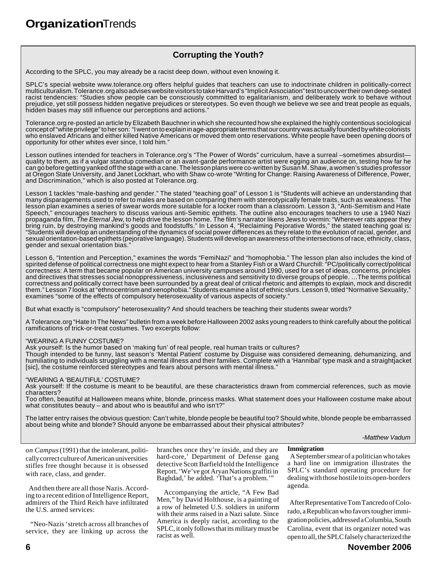## **Corrupting the Youth?**

According to the SPLC, you may already be a racist deep down, without even knowing it.

SPLC's special website www.tolerance.org offers helpful guides that teachers can use to indoctrinate children in politically-correct multiculturalism. Tolerance.org also advises website visitors to take Harvard's "Implicit Association" test to uncover their own deep-seated racist tendencies: "Studies show people can be consciously committed to egalitarianism, and deliberately work to behave without prejudice, yet still possess hidden negative prejudices or stereotypes. So even though we believe we see and treat people as equals, hidden biases may still influence our perceptions and actions."

Tolerance.org re-posted an article by Elizabeth Bauchner in which she recounted how she explained the highly contentious sociological concept of "white privilege" to her son: "I went on to explain in age-appropriate terms that our country was actually founded by white colonists who enslaved Africans and either killed Native Americans or moved them onto reservations. White people have been opening doors of opportunity for other whites ever since, I told him."

Lesson outlines intended for teachers in Tolerance.org's "The Power of Words" curriculum, have a surreal –sometimes absurdistquality to them, as if a vulgar standup comedian or an avant-garde performance artist were egging an audience on, testing how far he can go before getting yanked off the stage with a cane. The lesson plans were co-written by Susan M. Shaw, a women's studies professor at Oregon State University, and Janet Lockhart, who with Shaw co-wrote "Writing for Change: Raising Awareness of Difference, Power, and Discrimination," which is also posted at Tolerance.org.

Lesson 1 tackles "male-bashing and gender." The stated "teaching goal" of Lesson 1 is "Students will achieve an understanding that many disparagements used to refer to males are based on comparing them with stereotypically female traits, such as weakness." The lesson plan examines a series of swear words more suitable for a locker room than a classroom. Lesson 3, "Anti-Semitism and Hate Speech," encourages teachers to discuss various anti-Semitic epithets. The outline also encourages teachers to use a 1940 Nazi propaganda film, *The Eternal Jew*, to help drive the lesson home. The film's narrator likens Jews to vermin: "Wherever rats appear they bring ruin, by destroying mankind's goods and foodstuffs." In Lesson 4, "Reclaiming Pejorative Words," the stated teaching goal is: "Students will develop an understanding of the dynamics of social power differences as they relate to the evolution of racial, gender, and sexual orientation-based epithets (pejorative language). Students will develop an awareness of the intersections of race, ethnicity, class, gender and sexual orientation bias.

Lesson 6, "Intention and Perception," examines the words "FemiNazi" and "homophobia." The lesson plan also includes the kind of spirited defense of political correctness one might expect to hear from a Stanley Fish or a Ward Churchill: "PC/politically correct/political correctness: A term that became popular on American university campuses around 1990, used for a set of ideas, concerns, principles and directives that stresses social nonoppressiveness, inclusiveness and sensitivity to diverse groups of people. …The terms political correctness and politically correct have been surrounded by a great deal of critical rhetoric and attempts to explain, mock and discredit them." Lesson 7 looks at "ethnocentrism and xenophobia." Students examine a list of ethnic slurs. Lesson 9, titled "Normative Sexuality," examines "some of the effects of compulsory heterosexuality of various aspects of society."

But what exactly is "compulsory" heterosexuality? And should teachers be teaching their students swear words?

A Tolerance.org "Hate In The News" bulletin from a week before Halloween 2002 asks young readers to think carefully about the political ramifications of trick-or-treat costumes. Two excerpts follow:

#### "WEARING A FUNNY COSTUME?

Ask yourself: Is the humor based on 'making fun' of real people, real human traits or cultures?

Though intended to be funny, last season's 'Mental Patient' costume by Disguise was considered demeaning, dehumanizing, and humiliating to individuals struggling with a mental illness and their families. Complete with a 'Hannibal' type mask and a straightjacket [sic], the costume reinforced stereotypes and fears about persons with mental illness."

#### "WEARING A 'BEAUTIFUL' COSTUME?

Ask yourself: If the costume is meant to be beautiful, are these characteristics drawn from commercial references, such as movie characters?

Too often, beautiful at Halloween means white, blonde, princess masks. What statement does your Halloween costume make about what constitutes beauty – and about who is beautiful and who isn't?"

The latter entry raises the obvious question: Can't white, blonde people be beautiful too? Should white, blonde people be embarrassed about being white and blonde? Should anyone be embarrassed about their physical attributes?

*-Matthew Vadum*

*on Campus* (1991) that the intolerant, politically correct culture of American universities stifles free thought because it is obsessed with race, class, and gender.

 And then there are all those Nazis. According to a recent edition of Intelligence Report, admirers of the Third Reich have infiltrated the U.S. armed services:

 "Neo-Nazis 'stretch across all branches of service, they are linking up across the

branches once they're inside, and they are hard-core,' Department of Defense gang detective Scott Barfield told the Intelligence Report. 'We've got Aryan Nations graffiti in Baghdad,' he added. 'That's a problem.'"

 Accompanying the article, "A Few Bad Men," by David Holthouse, is a painting of a row of helmeted U.S. soldiers in uniform with their arms raised in a Nazi salute. Since America is deeply racist, according to the SPLC, it only follows that its military must be racist as well.

#### **Immigration**

 A September smear of a politician who takes a hard line on immigration illustrates the SPLC's standard operating procedure for dealing with those hostile to its open-borders agenda.

 After Representative Tom Tancredo of Colorado, a Republican who favors tougher immigration policies, addressed a Columbia, South Carolina, event that its organizer noted was open to all, the SPLC falsely characterized the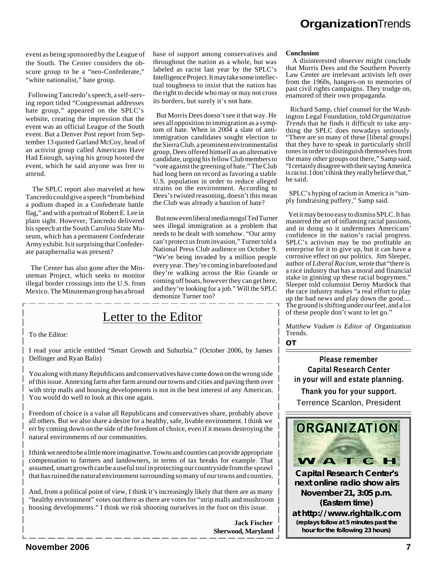event as being sponsored by the League of the South. The Center considers the obscure group to be a "neo-Confederate," "white nationalist," hate group.

 Following Tancredo's speech, a self-serving report titled "Congressman addresses hate group," appeared on the SPLC's website, creating the impression that the event was an official League of the South event. But a Denver Post report from September 13 quoted Garland McCoy, head of an activist group called Americans Have Had Enough, saying his group hosted the event, which he said anyone was free to attend.

 The SPLC report also marveled at how Tancredo could give a speech "from behind a podium draped in a Confederate battle flag," and with a portrait of Robert E. Lee in plain sight. However, Tancredo delivered his speech at the South Carolina State Museum, which has a permanent Confederate Army exhibit. Is it surprising that Confederate paraphernalia was present?

 The Center has also gone after the Minuteman Project, which seeks to monitor illegal border crossings into the U.S. from Mexico. The Minuteman group has a broad base of support among conservatives and throughout the nation as a whole, but was labeled as racist last year by the SPLC's Intelligence Project. It may take some intellectual toughness to insist that the nation has the right to decide who may or may not cross its borders, but surely it's not hate.

 But Morris Dees doesn't see it that way. He sees all opposition to immigration as a symptom of hate. When in 2004 a slate of antiimmigration candidates sought election to the Sierra Club, a prominent environmentalist group, Dees offered himself as an alternative candidate, urging his fellow Club members to "vote against the greening of hate." The Club had long been on record as favoring a stable U.S. population in order to reduce alleged strains on the environment. According to Dees's twisted reasoning, doesn't this mean the Club was already a bastion of hate?

 But now even liberal media mogul Ted Turner sees illegal immigration as a problem that needs to be dealt with somehow. "Our army can't protect us from invasion," Turner told a National Press Club audience on October 9. "We're being invaded by a million people every year. They're coming in barefooted and they're walking across the Rio Grande or coming off boats, however they can get here, and they're looking for a job." Will the SPLC demonize Turner too?

## Letter to the Editor

To the Editor:

I read your article entitled "Smart Growth and Suburbia." (October 2006, by James Dellinger and Ryan Balis)

You along with many Republicans and conservatives have come down on the wrong side of this issue. Annexing farm after farm around our towns and cities and paving them over with strip malls and housing developments is not in the best interest of any American. You would do well to look at this one again.

Freedom of choice is a value all Republicans and conservatives share, probably above all others. But we also share a desire for a healthy, safe, livable environment. I think we err by coming down on the side of the freedom of choice, even if it means destroying the natural environments of our communities.

I think we need to be a little more imaginative. Towns and counties can provide appropriate compensation to farmers and landowners, in terms of tax breaks for example. That assumed, smart growth can be a useful tool in protecting our countryside from the sprawl that has ruined the natural environment surrounding so many of our towns and counties.

And, from a political point of view, I think it's increasingly likely that there are as many "healthy environment" votes out there as there are votes for "strip malls and mushroom housing developments." I think we risk shooting ourselves in the foot on this issue.

> **Jack Fischer Sherwood, Maryland**

#### **Conclusion**

 A disinterested observer might conclude that Morris Dees and the Southern Poverty Law Center are irrelevant activists left over from the 1960s, hangers-on to memories of past civil rights campaigns. They trudge on, enamored of their own propaganda.

 Richard Samp, chief counsel for the Washington Legal Foundation, told *Organization Trends* that he finds it difficult to take anything the SPLC does nowadays seriously. "There are so many of these [liberal groups] that they have to speak in particularly shrill tones in order to distinguish themselves from the many other groups out there," Samp said. "I certainly disagree with their saying America is racist. I don't think they really believe that,' he said.

 SPLC's hyping of racism in America is "simply fundraising puffery," Samp said.

 Yet it may be too easy to dismiss SPLC. It has mastered the art of inflaming racial passions, and in doing so it undermines Americans' confidence in the nation's racial progress. SPLC's activism may be too profitable an enterprise for it to give up, but it can have a corrosive effect on our politics. Jim Sleeper, author of *Liberal Racism*, wrote that "there is a race industry that has a moral and financial stake in ginning up these racial bogeymen." Sleeper told columnist Deroy Murdock that the race industry makes "a real effort to play up the bad news and play down the good.... The ground is shifting under our feet, and a lot of these people don't want to let go."

*Matthew Vadum is Editor of* Organization Trends*.*

*OT*

**Please remember Capital Research Center in your will and estate planning.**

**Thank you for your support.** Terrence Scanlon, President



**Capital Research Center's next online radio show airs November 21, 3:05 p.m. (Eastern time) at** *http://www.rightalk.com* **(replays follow at 5 minutes past the hour for the following 23 hours)**